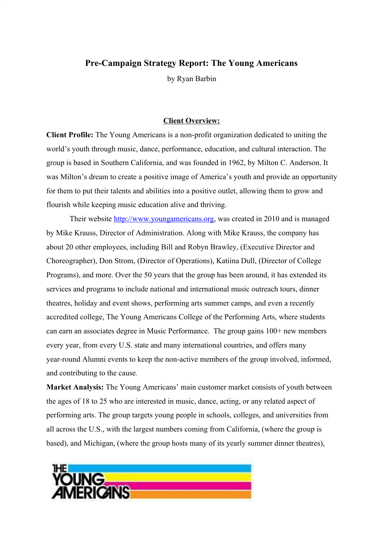## **Pre-Campaign Strategy Report: The Young Americans**

by Ryan Barbin

## **Client Overview:**

**Client Profile:** The Young Americans is a non-profit organization dedicated to uniting the world's youth through music, dance, performance, education, and cultural interaction. The group is based in Southern California, and was founded in 1962, by Milton C. Anderson. It was Milton's dream to create a positive image of America's youth and provide an opportunity for them to put their talents and abilities into a positive outlet, allowing them to grow and flourish while keeping music education alive and thriving.

Their website [http://www.youngamericans.org,](http://www.youngamericans.org/) was created in 2010 and is managed by Mike Krauss, Director of Administration. Along with Mike Krauss, the company has about 20 other employees, including Bill and Robyn Brawley, (Executive Director and Choreographer), Don Strom, (Director of Operations), Katiina Dull, (Director of College Programs), and more. Over the 50 years that the group has been around, it has extended its services and programs to include national and international music outreach tours, dinner theatres, holiday and event shows, performing arts summer camps, and even a recently accredited college, The Young Americans College of the Performing Arts, where students can earn an associates degree in Music Performance. The group gains 100+ new members every year, from every U.S. state and many international countries, and offers many year-round Alumni events to keep the non-active members of the group involved, informed, and contributing to the cause.

**Market Analysis:** The Young Americans' main customer market consists of youth between the ages of 18 to 25 who are interested in music, dance, acting, or any related aspect of performing arts. The group targets young people in schools, colleges, and universities from all across the U.S., with the largest numbers coming from California, (where the group is based), and Michigan, (where the group hosts many of its yearly summer dinner theatres),

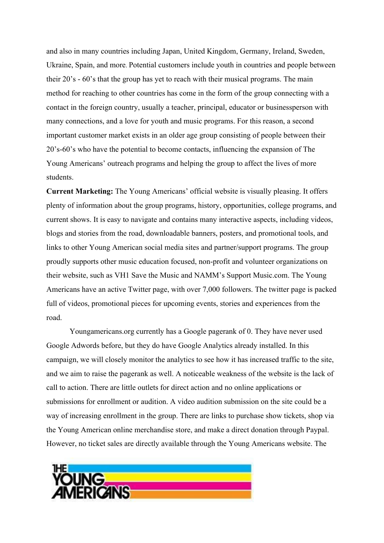and also in many countries including Japan, United Kingdom, Germany, Ireland, Sweden, Ukraine, Spain, and more. Potential customers include youth in countries and people between their 20's - 60's that the group has yet to reach with their musical programs. The main method for reaching to other countries has come in the form of the group connecting with a contact in the foreign country, usually a teacher, principal, educator or businessperson with many connections, and a love for youth and music programs. For this reason, a second important customer market exists in an older age group consisting of people between their 20's-60's who have the potential to become contacts, influencing the expansion of The Young Americans' outreach programs and helping the group to affect the lives of more students.

**Current Marketing:** The Young Americans' official website is visually pleasing. It offers plenty of information about the group programs, history, opportunities, college programs, and current shows. It is easy to navigate and contains many interactive aspects, including videos, blogs and stories from the road, downloadable banners, posters, and promotional tools, and links to other Young American social media sites and partner/support programs. The group proudly supports other music education focused, non-profit and volunteer organizations on their website, such as VH1 Save the Music and NAMM's Support Music.com. The Young Americans have an active Twitter page, with over 7,000 followers. The twitter page is packed full of videos, promotional pieces for upcoming events, stories and experiences from the road.

Youngamericans.org currently has a Google pagerank of 0. They have never used Google Adwords before, but they do have Google Analytics already installed. In this campaign, we will closely monitor the analytics to see how it has increased traffic to the site, and we aim to raise the pagerank as well. A noticeable weakness of the website is the lack of call to action. There are little outlets for direct action and no online applications or submissions for enrollment or audition. A video audition submission on the site could be a way of increasing enrollment in the group. There are links to purchase show tickets, shop via the Young American online merchandise store, and make a direct donation through Paypal. However, no ticket sales are directly available through the Young Americans website. The

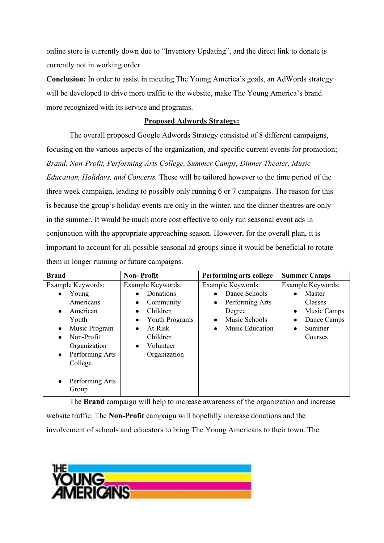online store is currently down due to "Inventory Updating", and the direct link to donate is currently not in working order.

**Conclusion:** In order to assist in meeting The Young America's goals, an AdWords strategy will be developed to drive more traffic to the website, make The Young America's brand more recognized with its service and programs.

## **Proposed Adwords Strategy:**

The overall proposed Google Adwords Strategy consisted of 8 different campaigns, focusing on the various aspects of the organization, and specific current events for promotion; *Brand, Non-Profit, Performing Arts College, Summer Camps, Dinner Theater, Music Education, Holidays, and Concerts.* These will be tailored however to the time period of the three week campaign, leading to possibly only running 6 or 7 campaigns. The reason for this is because the group's holiday events are only in the winter, and the dinner theatres are only in the summer. It would be much more cost effective to only run seasonal event ads in conjunction with the appropriate approaching season. However, for the overall plan, it is important to account for all possible seasonal ad groups since it would be beneficial to rotate them in longer running or future campaigns.

| <b>Brand</b>                                                                                                                                                                     | <b>Non-Profit</b>                                                                                                                                                                              | Performing arts college                                                                                          | <b>Summer Camps</b>                                                                                                              |  |
|----------------------------------------------------------------------------------------------------------------------------------------------------------------------------------|------------------------------------------------------------------------------------------------------------------------------------------------------------------------------------------------|------------------------------------------------------------------------------------------------------------------|----------------------------------------------------------------------------------------------------------------------------------|--|
| Example Keywords:<br>Young<br>Americans<br>American<br>Youth<br>Music Program<br>$\bullet$<br>Non-Profit<br>$\bullet$<br>Organization<br>Performing Arts<br>$\bullet$<br>College | Example Keywords:<br>Donations<br>Community<br>$\bullet$<br>Children<br>$\bullet$<br>Youth Programs<br>$\bullet$<br>At-Risk<br>$\bullet$<br>Children<br>Volunteer<br>$\bullet$<br>Organization | Example Keywords:<br>Dance Schools<br>Performing Arts<br>$\bullet$<br>Degree<br>Music Schools<br>Music Education | Example Keywords:<br>Master<br>$\bullet$<br>Classes<br>Music Camps<br>$\bullet$<br>Dance Camps<br>$\bullet$<br>Summer<br>Courses |  |
| Performing Arts<br>Group                                                                                                                                                         |                                                                                                                                                                                                |                                                                                                                  |                                                                                                                                  |  |

The **Brand** campaign will help to increase awareness of the organization and increase website traffic. The **Non-Profit** campaign will hopefully increase donations and the involvement of schools and educators to bring The Young Americans to their town. The

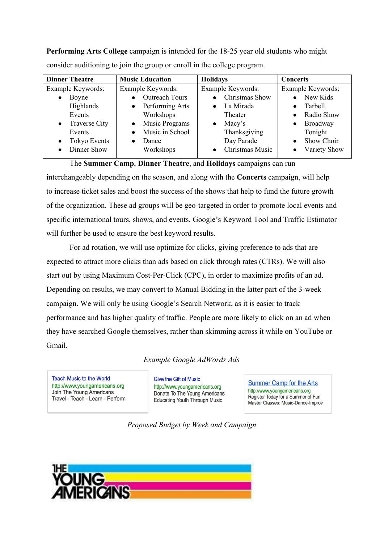**Performing Arts College** campaign is intended for the 18-25 year old students who might consider auditioning to join the group or enroll in the college program.

| <b>Music Education</b>       | <b>Holidays</b>              | <b>Concerts</b>                |  |
|------------------------------|------------------------------|--------------------------------|--|
| Example Keywords:            | Example Keywords:            | Example Keywords:              |  |
| <b>Outreach Tours</b>        | Christmas Show               | • New Kids                     |  |
| Performing Arts<br>$\bullet$ | La Mirada<br>$\bullet$       | Tarbell                        |  |
| Workshops                    | Theater                      | Radio Show<br>$\bullet$        |  |
| Music Programs<br>$\bullet$  | Macy's<br>$\bullet$          | Broadway<br>$\bullet$          |  |
| Music in School<br>$\bullet$ | Thanksgiving                 | Tonight                        |  |
| Dance                        | Day Parade                   | <b>Show Choir</b><br>$\bullet$ |  |
| Workshops                    | Christmas Music<br>$\bullet$ | Variety Show                   |  |
|                              |                              |                                |  |

The **Summer Camp**, **Dinner Theatre**, and **Holidays** campaigns can run

interchangeably depending on the season, and along with the **Concerts** campaign, will help to increase ticket sales and boost the success of the shows that help to fund the future growth of the organization. These ad groups will be geo-targeted in order to promote local events and specific international tours, shows, and events. Google's Keyword Tool and Traffic Estimator will further be used to ensure the best keyword results.

For ad rotation, we will use optimize for clicks, giving preference to ads that are expected to attract more clicks than ads based on click through rates (CTRs). We will also start out by using Maximum Cost-Per-Click (CPC), in order to maximize profits of an ad. Depending on results, we may convert to Manual Bidding in the latter part of the 3-week campaign. We will only be using Google's Search Network, as it is easier to track performance and has higher quality of traffic. People are more likely to click on an ad when they have searched Google themselves, rather than skimming across it while on YouTube or Gmail.

*Example Google AdWords Ads*

**Teach Music to the World** http://www.youngamericans.org Join The Young Americans Travel - Teach - Learn - Perform **Give the Gift of Music** http://www.youngamericans.org Donate To The Young Americans **Educating Youth Through Music** 

**Summer Camp for the Arts** http://www.youngamericans.org Register Today for a Summer of Fun Master Classes: Music-Dance-Improv

*Proposed Budget by Week and Campaign*